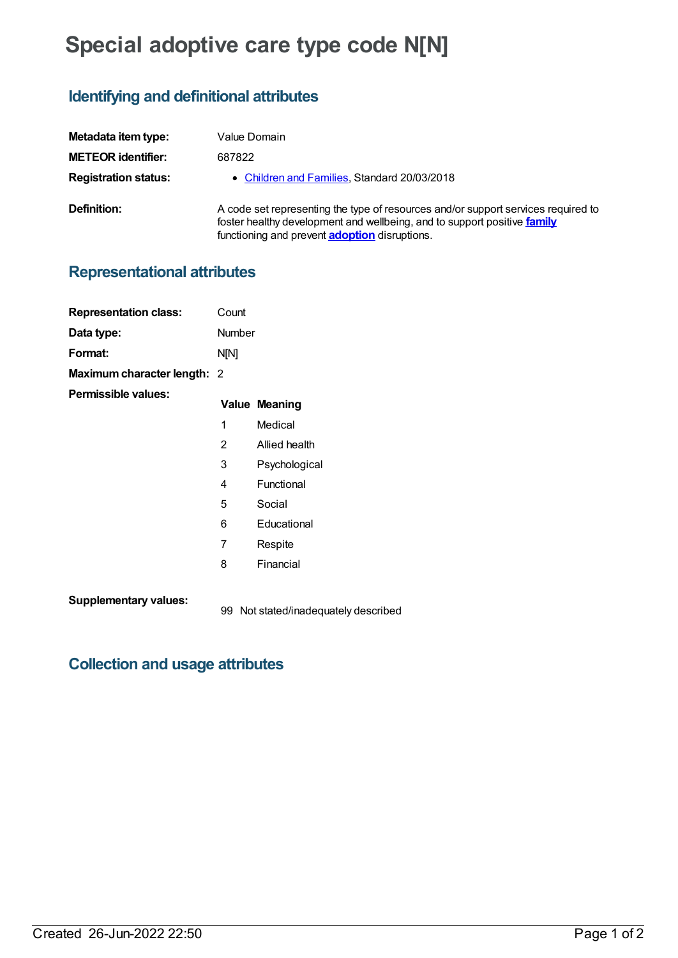# **Special adoptive care type code N[N]**

## **Identifying and definitional attributes**

| Metadata item type:         | Value Domain                                                                                                                                                                                                          |
|-----------------------------|-----------------------------------------------------------------------------------------------------------------------------------------------------------------------------------------------------------------------|
| <b>METEOR identifier:</b>   | 687822                                                                                                                                                                                                                |
| <b>Registration status:</b> | • Children and Families, Standard 20/03/2018                                                                                                                                                                          |
| Definition:                 | A code set representing the type of resources and/or support services required to<br>foster healthy development and wellbeing, and to support positive family<br>functioning and prevent <b>adoption</b> disruptions. |

99 Not stated/inadequately described

### **Representational attributes**

| <b>Representation class:</b> | Count         |                      |
|------------------------------|---------------|----------------------|
| Data type:                   | <b>Number</b> |                      |
| Format:                      | N[N]          |                      |
| Maximum character length: 2  |               |                      |
| Permissible values:          |               | <b>Value Meaning</b> |
|                              | 1             | Medical              |
|                              | 2             | Allied health        |
|                              | 3             | Psychological        |
|                              | 4             | Functional           |
|                              | 5             | Social               |
|                              | 6             | Educational          |
|                              | 7             | Respite              |
|                              | 8             | Financial            |
| <b>Supplementary values:</b> |               | .                    |

## **Collection and usage attributes**